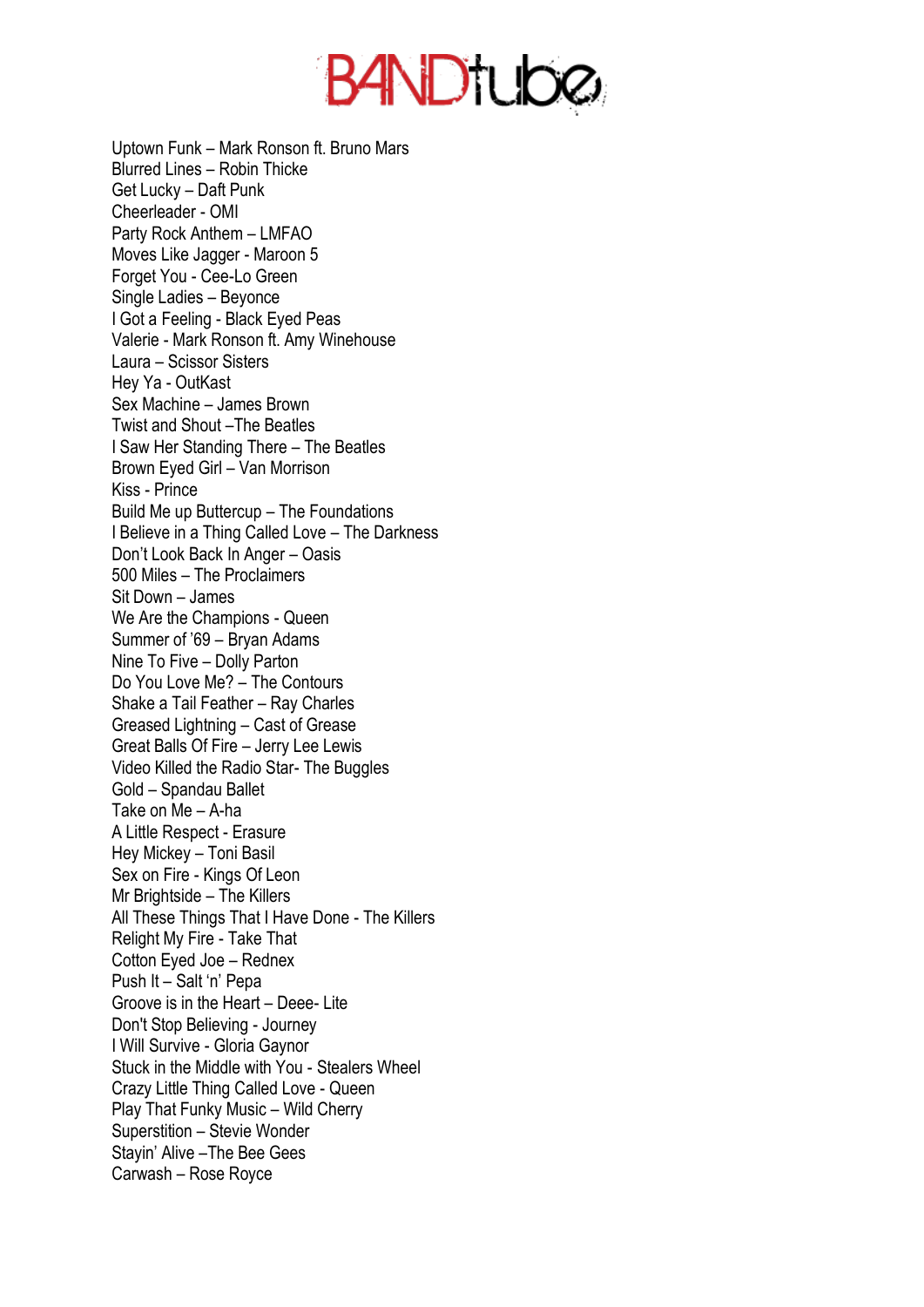

Uptown Funk – Mark Ronson ft. Bruno Mars Blurred Lines – Robin Thicke Get Lucky – Daft Punk Cheerleader - OMI Party Rock Anthem – LMFAO Moves Like Jagger - Maroon 5 Forget You - Cee-Lo Green Single Ladies – Beyonce I Got a Feeling - Black Eyed Peas Valerie - Mark Ronson ft. Amy Winehouse Laura – Scissor Sisters Hey Ya - OutKast Sex Machine – James Brown Twist and Shout –The Beatles I Saw Her Standing There – The Beatles Brown Eyed Girl – Van Morrison Kiss - Prince Build Me up Buttercup – The Foundations I Believe in a Thing Called Love – The Darkness Don't Look Back In Anger – Oasis 500 Miles – The Proclaimers Sit Down – James We Are the Champions - Queen Summer of '69 – Bryan Adams Nine To Five – Dolly Parton Do You Love Me? – The Contours Shake a Tail Feather – Ray Charles Greased Lightning – Cast of Grease Great Balls Of Fire – Jerry Lee Lewis Video Killed the Radio Star- The Buggles Gold – Spandau Ballet Take on Me – A-ha A Little Respect - Erasure Hey Mickey – Toni Basil Sex on Fire - Kings Of Leon Mr Brightside – The Killers All These Things That I Have Done - The Killers Relight My Fire - Take That Cotton Eyed Joe – Rednex Push It – Salt 'n' Pepa Groove is in the Heart – Deee- Lite Don't Stop Believing - Journey I Will Survive - Gloria Gaynor Stuck in the Middle with You - Stealers Wheel Crazy Little Thing Called Love - Queen Play That Funky Music – Wild Cherry Superstition – Stevie Wonder Stayin' Alive –The Bee Gees Carwash – Rose Royce